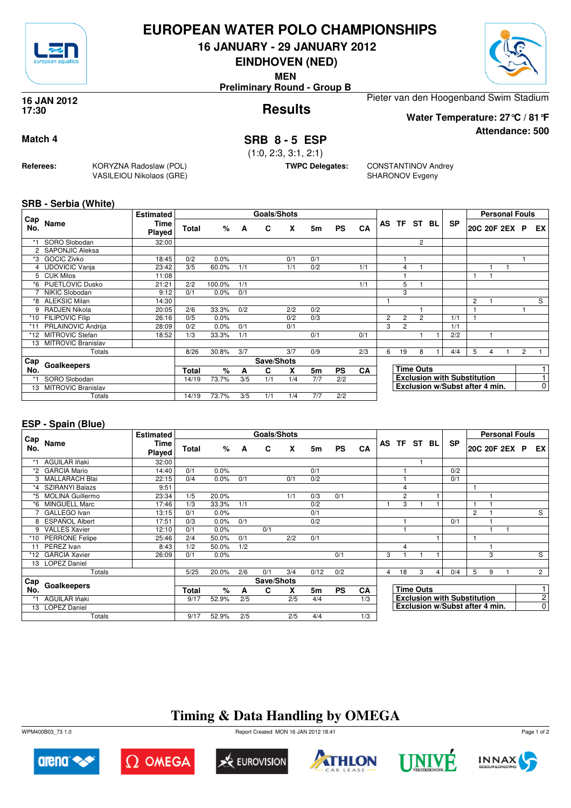

## **EUROPEAN WATER POLO CHAMPIONSHIPS**

**16 JANUARY - 29 JANUARY 2012**

**EINDHOVEN (NED)**

**MEN**

**Preliminary Round - Group B**



**Attendance: 500**

#### **Results 16 JAN 2012 17:30**

Pieter van den Hoogenband Swim Stadium **Water Temperature: 27°C / 81°F**

**Match 4 SRB 8 - 5 ESP** 

(1:0, 2:3, 3:1, 2:1)

**TWPC Delegates:** CONSTANTINOV Andrey SHARONOV Evgeny

**SRB - Serbia (White)**

**Referees:** KORYZNA Radoslaw (POL)

VASILEIOU Nikolaos (GRE)

| Cap                  |                           | <b>Estimated</b> |              |        |     | Goals/Shots |     |     |           |     |                |                |                  |    |                                    |   |   | <b>Personal Fouls</b> |                |                |
|----------------------|---------------------------|------------------|--------------|--------|-----|-------------|-----|-----|-----------|-----|----------------|----------------|------------------|----|------------------------------------|---|---|-----------------------|----------------|----------------|
| No.                  | Name                      | Time<br>Played   | <b>Total</b> | %      | A   | C           | x   | 5m  | <b>PS</b> | CA  |                | AS TF          | ST               | BL | <b>SP</b>                          |   |   | 20C 20F 2EX           | <b>P</b>       | EX I           |
| *1                   | SORO Slobodan             | 32:00            |              |        |     |             |     |     |           |     |                |                | $\overline{2}$   |    |                                    |   |   |                       |                |                |
| $\mathbf{2}^{\circ}$ | SAPONJIC Aleksa           |                  |              |        |     |             |     |     |           |     |                |                |                  |    |                                    |   |   |                       |                |                |
| *3                   | <b>GOCIC Zivko</b>        | 18:45            | 0/2          | 0.0%   |     |             | 0/1 | 0/1 |           |     |                |                |                  |    |                                    |   |   |                       |                |                |
|                      | 4 UDOVICIC Vanja          | 23:42            | 3/5          | 60.0%  | 1/1 |             | 1/1 | 0/2 |           | 1/1 |                | 4              |                  |    |                                    |   |   |                       |                |                |
|                      | 5 CUK Milos               | 11:08            |              |        |     |             |     |     |           |     |                |                |                  |    |                                    |   |   |                       |                |                |
|                      | <b>PIJETLOVIC Dusko</b>   | 21:21            | 2/2          | 100.0% | 1/1 |             |     |     |           | 1/1 |                | 5              |                  |    |                                    |   |   |                       |                |                |
|                      | NIKIC Slobodan            | 9:12             | 0/1          | 0.0%   | 0/1 |             |     |     |           |     |                | 3              |                  |    |                                    |   |   |                       |                |                |
| *8                   | <b>ALEKSIC Milan</b>      | 14:30            |              |        |     |             |     |     |           |     |                |                |                  |    |                                    | 2 |   |                       |                | S              |
| 9                    | RADJEN Nikola             | 20:05            | 2/6          | 33.3%  | 0/2 |             | 2/2 | 0/2 |           |     |                |                |                  |    |                                    |   |   |                       |                |                |
| *10                  | <b>FILIPOVIC Filip</b>    | 26:16            | 0/5          | 0.0%   |     |             | 0/2 | 0/3 |           |     | $\overline{2}$ | $\overline{c}$ | $\overline{2}$   |    | 1/1                                |   |   |                       |                |                |
| $*11$                | PRLAINOVIC Andrija        | 28:09            | 0/2          | 0.0%   | 0/1 |             | 0/1 |     |           |     | 3              | $\overline{c}$ |                  |    | 1/1                                |   |   |                       |                |                |
| $*12$                | <b>MITROVIC Stefan</b>    | 18:52            | 1/3          | 33.3%  | 1/1 |             |     | 0/1 |           | 0/1 |                |                |                  |    | 2/2                                |   |   |                       |                |                |
| 13                   | <b>MITROVIC Branislav</b> |                  |              |        |     |             |     |     |           |     |                |                |                  |    |                                    |   |   |                       |                |                |
|                      | Totals                    |                  | 8/26         | 30.8%  | 3/7 |             | 3/7 | 0/9 |           | 2/3 | 6              | 19             | 8                |    | 4/4                                | 5 | 4 |                       | $\overline{c}$ |                |
| Cap                  | Goalkeepers               |                  |              |        |     | Save/Shots  |     |     |           |     |                |                |                  |    |                                    |   |   |                       |                |                |
| No.                  |                           |                  | Total        | %      | A   | C           | x   | 5m  | <b>PS</b> | CA  |                |                | <b>Time Outs</b> |    |                                    |   |   |                       |                |                |
| *1                   | SORO Slobodan             |                  | 14/19        | 73.7%  | 3/5 | 1/1         | 1/4 | 7/7 | 2/2       |     |                |                |                  |    | <b>Exclusion with Substitution</b> |   |   |                       |                |                |
| 13                   | <b>MITROVIC Branislav</b> |                  |              |        |     |             |     |     |           |     |                |                |                  |    | Exclusion w/Subst after 4 min.     |   |   |                       |                | $\overline{0}$ |
|                      | Totals                    |                  | 14/19        | 73.7%  | 3/5 | 1/1         | 1/4 | 7/7 | 2/2       |     |                |                |                  |    |                                    |   |   |                       |                |                |

### **ESP - Spain (Blue)**

|                 |                         | <b>Estimated</b> |       |       |     | Goals/Shots |     |      |           |           |   |                |                  |   |                                    |   |   | <b>Personal Fouls</b> |                |
|-----------------|-------------------------|------------------|-------|-------|-----|-------------|-----|------|-----------|-----------|---|----------------|------------------|---|------------------------------------|---|---|-----------------------|----------------|
| Cap<br>No.      | Name                    | Time<br>Played   | Total | %     | A   | C           | X   | 5m   | <b>PS</b> | CA        |   | AS TF ST BL    |                  |   | <b>SP</b>                          |   |   | 20C 20F 2EX P         | EX I           |
|                 | <b>AGUILAR Iñaki</b>    | 32:00            |       |       |     |             |     |      |           |           |   |                |                  |   |                                    |   |   |                       |                |
| *2              | <b>GARCIA Mario</b>     | 14:40            | 0/1   | 0.0%  |     |             |     | 0/1  |           |           |   |                |                  |   | 0/2                                |   |   |                       |                |
| 3               | <b>MALLARACH Blai</b>   | 22:15            | 0/4   | 0.0%  | 0/1 |             | 0/1 | 0/2  |           |           |   |                |                  |   | 0/1                                |   |   |                       |                |
| $*_{4}$         | <b>SZIRANYI Balazs</b>  | 9:51             |       |       |     |             |     |      |           |           |   | $\overline{4}$ |                  |   |                                    | 1 |   |                       |                |
| *5              | <b>MOLINA Guillermo</b> | 23:34            | 1/5   | 20.0% |     |             | 1/1 | 0/3  | 0/1       |           |   | $\overline{2}$ |                  |   |                                    |   |   |                       |                |
| *6              | <b>MINGUELL Marc</b>    | 17:46            | 1/3   | 33.3% | 1/1 |             |     | 0/2  |           |           |   | 3              |                  |   |                                    | 1 |   |                       |                |
|                 | GALLEGO Ivan            | 13:15            | 0/1   | 0.0%  |     |             |     | 0/1  |           |           |   |                |                  |   |                                    | 2 |   |                       | S              |
| 8               | <b>ESPAÑOL Albert</b>   | 17:51            | 0/3   | 0.0%  | 0/1 |             |     | 0/2  |           |           |   |                |                  |   | 0/1                                |   |   |                       |                |
| 9               | <b>VALLES Xavier</b>    | 12:10            | 0/1   | 0.0%  |     | 0/1         |     |      |           |           |   |                |                  |   |                                    |   |   |                       |                |
|                 | *10 PERRONE Felipe      | 25:46            | 2/4   | 50.0% | 0/1 |             | 2/2 | 0/1  |           |           |   |                |                  |   |                                    | 1 |   |                       |                |
|                 | PEREZ Ivan              | 8:43             | 1/2   | 50.0% | 1/2 |             |     |      |           |           |   | 4              |                  |   |                                    |   |   |                       |                |
|                 | *12 GARCIA Xavier       | 26:09            | 0/1   | 0.0%  |     |             |     |      | 0/1       |           | 3 |                |                  |   |                                    |   | 3 |                       | S              |
| 13 <sup>7</sup> | <b>LOPEZ Daniel</b>     |                  |       |       |     |             |     |      |           |           |   |                |                  |   |                                    |   |   |                       |                |
|                 | Totals                  |                  | 5/25  | 20.0% | 2/6 | 0/1         | 3/4 | 0/12 | 0/2       |           | 4 | 18             | 3                | 4 | 0/4                                | 5 | 9 |                       | $\overline{2}$ |
| Cap             |                         |                  |       |       |     | Save/Shots  |     |      |           |           |   |                |                  |   |                                    |   |   |                       |                |
| No.             | Goalkeepers             |                  | Total | %     | A   | C           | x   | 5m   | <b>PS</b> | <b>CA</b> |   |                | <b>Time Outs</b> |   |                                    |   |   |                       |                |
|                 | <b>AGUILAR Iñaki</b>    |                  | 9/17  | 52.9% | 2/5 |             | 2/5 | 4/4  |           | 1/3       |   |                |                  |   | <b>Exclusion with Substitution</b> |   |   |                       | $\mathbf{2}$   |
|                 | 13 LOPEZ Daniel         |                  |       |       |     |             |     |      |           |           |   |                |                  |   | Exclusion w/Subst after 4 min.     |   |   |                       | $\overline{0}$ |
|                 | Totals                  |                  | 9/17  | 52.9% | 2/5 |             | 2/5 | 4/4  |           | 1/3       |   |                |                  |   |                                    |   |   |                       |                |

# **Timing & Data Handling by OMEGA**











Page 1 of 2